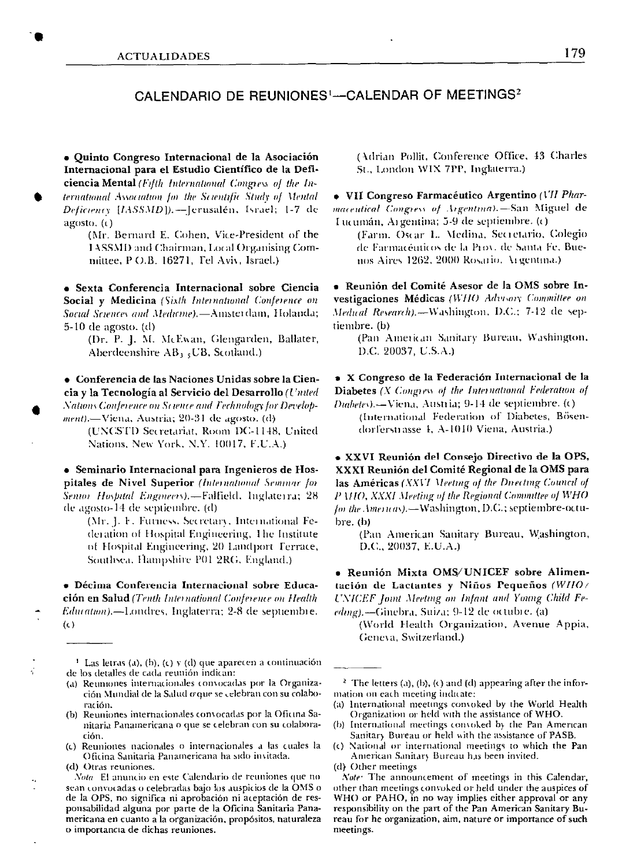## CALENDARIO DE REUNIONES<sup>1</sup>-CALENDAR OF MEETINGS<sup>2</sup>

· Quinto Congreso Internacional de la Asociación Internacional para el Estudio Científico de la Deficiencia Mental (Fifth International Congress of the International Association for the Scientific Study of Mental Deficiency [IASSMD]).--Jerusalén, Israel; 1-7 de  $a\text{gost}_0$ ,  $(c)$ 

(Mr. Bernard E. Cohen, Vice-President of the 1ASSMD and Chairman, Local Organising Committee, P O.B. 16271, Tel Aviv, Israel.)

· Sexta Conferencia Internacional sobre Ciencia Social y Medicina (Sixth International Conference on Social Sciences and Medicine).-Ainsterdam, Holanda;  $5-10$  de agosto,  $(d)$ 

(Dr. P. J. M. McEwan, Glengarden, Ballater, Aberdeenshire AB1 , UB, Scotland.)

• Conferencia de las Naciones Unidas sobre la Ciencia y la Tecnología al Servicio del Desarrollo (United Nations Conference on Science and Fechnology for Development).—Viena, Austria; 20-31 de agosto. (d)

(UNCSTD Secretariat, Room DC-1148, United Nations, New York, N.Y. 10017, F.U.A.)

· Seminario Internacional para Ingenieros de Hospitales de Nivel Superior (International Semmar for Sentor Hospital Engineers).-Falfield, Inglaterra; 28 de agosto-14 de septiembre. (d)

(Mr. J. F. Futness, Secretary, International Federation of Hospital Engineering, The Institute of Hospital Engineering, 20 Landport Terrace, Southsea, Hampshire P01 2RG, England.)

· Décima Conferencia Internacional sobre Educación en Salud (Tenth International Conference on Health Education).-I.ondres, Inglaterra; 2-8 de septiembre.  $(c)$ 

- <sup>1</sup> Las letras (a), (b), (c)  $y$  (d) que aparecen a continuación de los detalles de cada reunión indican:
- (a) Reumones internacionales convocadas por la Organización Mundial de la Salud o que se celebran con su colaboración.
- (b) Reuniones internacionales convocadas por la Oficina Sanitaria Panamericana o que se celebran con su colaboración.
- (c) Reuniones nacionales o internacionales a las cuales la Oficina Sanitaria Panamericana ha sido invitada. (d) Otras reuniones.

Nota El anuncio en este Calendario de reuniones que no sean convocadas o celebradas bajo los auspicios de la OMS o de la OPS, no significa ni aprobación ni aceptación de responsabilidad alguna por parte de la Oficina Sanitaria Panamericana en cuanto a la organización, propósitos, naturaleza o importancia de dichas reuniones.

(Adrian Pollit, Conference Office, 43 Charles St., London WIX 7PP, Inglaterra.)

· VII Congreso Farmacéutico Argentino (VII Pharmaceutical Congress of Argentina).-San Miguel de Lucumán, Argentina; 5-9 de septiembre. (c)

(Farm. Oscar L. Medina, Secretario, Colegio de Farmacéuticos de la Prov. de Santa Fe, Buenos Aires 1262, 2000 Rosario. Argentina.)

· Reunión del Comité Asesor de la OMS sobre Investigaciones Médicas (WHO Advisory Committee on Medical Research).--Washington, D.C.; 7-12 de septiembre. (b)

(Pan American Sanitary Bureau, Washington, D.C. 20037, U.S.A.)

\* X Congreso de la Federación Internacional de la Diabetes (X Congress of the International Federation of Diabetes).-Viena, Austria; 9-14 de septiembre. (c)

(International Federation of Diabetes, Bösendorferstrasse 4, A-1010 Viena, Austria.)

· XXVI Reunión del Consejo Directivo de la OPS, XXXI Reunión del Comité Regional de la OMS para las Américas (XXVI Meeting of the Directing Council of P MIO, XXXI Meeting of the Regional Committee of WHO for the Americas).-Washington, D.C.; septiembre-octubre. (b)

(Pan American Sanitary Bureau, Washington, D.C., 20037, E.U.A.)

· Reunión Mixta OMS/UNICEF sobre Alimentación de Lactantes y Niños Pequeños (WHO/ UNICEF Joint Meeting on Infant and Young Child Feeding). - Ginebra, Suiza; 9-12 de octubre. (a)

(World Health Organization, Avenue Appia, Geneva, Switzerland.)

<sup>2</sup> The letters (a), (b), (c) and (d) appearing after the information on each meeting indicate:

- (a) International meetings convoked by the World Health Organization or held with the assistance of WHO.
- (b) International meetings convoked by the Pan American Sanitary Bureau or held with the assistance of PASB.
- (c) National or international meetings to which the Pan American Sanitary Bureau has been invited.
- (d) Other meetings

Note: The announcement of meetings in this Calendar, other than meetings convoked or held under the auspices of WHO or PAHO, in no way implies either approval or any responsibility on the part of the Pan American Sanitary Bureau for he organization, aim, nature or importance of such meetings.